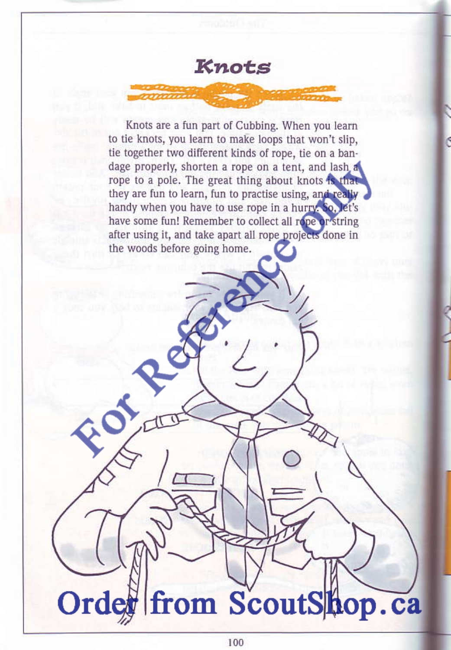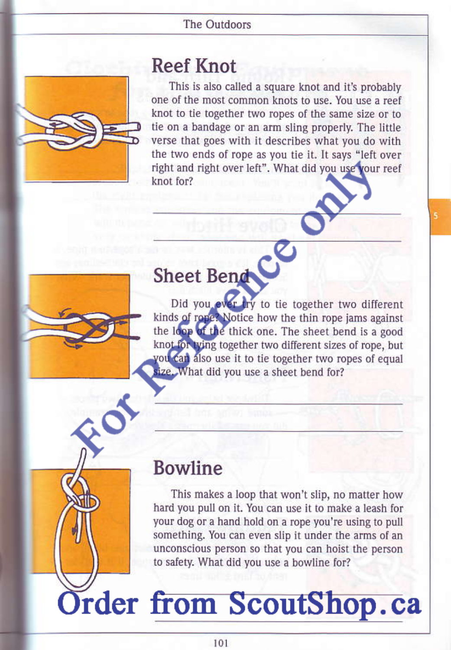#### The Outdoors



#### **Reef Knot**

This is also called a square knot and it's probably one of the most common knots to use. You use a reef knot to tie together two ropes of the same size or to tie on a bandage or an arm sling properly. The little verse that goes with it describes what you do with the two ends of rope as you tie it. It says "left over right and right over left". What did you use your reef knot for?



# Sheet Bend

Did you ever irv to tie together two different kinds of rope? Notice how the thin rope jams against the loop of the thick one. The sheet bend is a good knot for tying together two different sizes of rope, but you can also use it to tie together two ropes of equal size. What did you use a sheet bend for?

#### **Bowline**

This makes a loop that won't slip, no matter how hard you pull on it. You can use it to make a leash for your dog or a hand hold on a rope you're using to pull something. You can even slip it under the arms of an unconscious person so that you can hoist the person to safety. What did you use a bowline for?

## Order from ScoutShop.ca